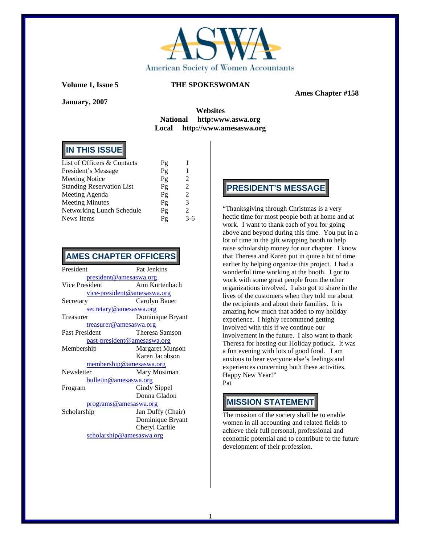

**January, 2007** 

 **Ames Chapter #158** 

### **Websites National http:www.aswa.org Local http://www.amesaswa.org**

# **IN THIS ISSUE**

| Pg                 |               |
|--------------------|---------------|
| $P_{\mathfrak{L}}$ | 1             |
| Pg                 | 2             |
| $P_{\mathfrak{L}}$ | 2             |
| Pg                 | 2             |
| Pg                 | 3             |
| $P_{\mathfrak{L}}$ | $\mathcal{L}$ |
| Pg                 | $3 - 6$       |
|                    |               |

### **AMES CHAPTER OFFICERS**

| President                          | Pat Jenkins            |  |  |  |  |
|------------------------------------|------------------------|--|--|--|--|
| <u>president@amesaswa.org</u>      |                        |  |  |  |  |
| Vice President                     | Ann Kurtenbach         |  |  |  |  |
| <u>vice-president@amesaswa.org</u> |                        |  |  |  |  |
| Secretary                          | Carolyn Bauer          |  |  |  |  |
| secretary@amesaswa.org             |                        |  |  |  |  |
| Treasurer                          | Dominique Bryant       |  |  |  |  |
| treasurer@amesaswa.org             |                        |  |  |  |  |
| Past President                     | Theresa Samson         |  |  |  |  |
| past-president@amesaswa.org        |                        |  |  |  |  |
| Membership                         | <b>Margaret Munson</b> |  |  |  |  |
|                                    | Karen Jacobson         |  |  |  |  |
| membership@amesaswa.org            |                        |  |  |  |  |
| Newsletter                         | Mary Mosiman           |  |  |  |  |
| bulletin@amesaswa.org              |                        |  |  |  |  |
| Program                            | Cindy Sippel           |  |  |  |  |
|                                    | Donna Gladon           |  |  |  |  |
| programs@amesaswa.org              |                        |  |  |  |  |
| Scholarship                        | Jan Duffy (Chair)      |  |  |  |  |
|                                    | Dominique Bryant       |  |  |  |  |
|                                    | Cheryl Carlile         |  |  |  |  |
| scholarship@amesaswa.org           |                        |  |  |  |  |

# **PRESIDENT'S MESSAGE**

"Thanksgiving through Christmas is a very hectic time for most people both at home and at work. I want to thank each of you for going above and beyond during this time. You put in a lot of time in the gift wrapping booth to help raise scholarship money for our chapter. I know that Theresa and Karen put in quite a bit of time earlier by helping organize this project. I had a wonderful time working at the booth. I got to work with some great people from the other organizations involved. I also got to share in the lives of the customers when they told me about the recipients and about their families. It is amazing how much that added to my holiday experience. I highly recommend getting involved with this if we continue our involvement in the future. I also want to thank Theresa for hosting our Holiday potluck. It was a fun evening with lots of good food. I am anxious to hear everyone else's feelings and experiences concerning both these activities. Happy New Year!" Pat

### **MISSION STATEMENT**

The mission of the society shall be to enable women in all accounting and related fields to achieve their full personal, professional and economic potential and to contribute to the future development of their profession.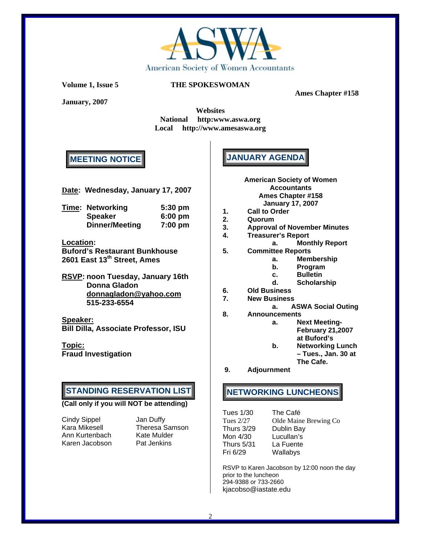

**January, 2007** 

### **Volume 1, Issue 5 THE SPOKESWOMAN**

 **Ames Chapter #158** 

**Websites National http:www.aswa.org Local http://www.amesaswa.org** 

# **MEETING NOTICE**

**Date: Wednesday, January 17, 2007** 

| <b>Time: Networking</b> | $5:30$ pm |
|-------------------------|-----------|
| <b>Speaker</b>          | $6:00$ pm |
| <b>Dinner/Meeting</b>   | $7:00$ pm |

### **Location:**

**Buford's Restaurant Bunkhouse 2601 East 13th Street, Ames** 

**RSVP: noon Tuesday, January 16th Donna Gladon donnagladon@yahoo.com 515-233-6554** 

**Speaker: Bill Dilla, Associate Professor, ISU** 

**Topic: Fraud Investigation** 

### **STANDING RESERVATION LIST**

#### **(Call only if you will NOT be attending)**

Cindy Sippel Jan Duffy<br>Kara Mikesell Theresa S Ann Kurtenbach Karen Jacobson Pat Jenkins

Theresa Samson<br>Kate Mulder

# **JANUARY AGENDA**

- **American Society of Women Accountants Ames Chapter #158 January 17, 2007**
- **1. Call to Order**
- **2. Quorum**
- **3. Approval of November Minutes**
- **4. Treasurer's Report** 
	- **a. Monthly Report**
- **5. Committee Reports** 
	- **a. Membership** 
		- **b. Program**
		- **c. Bulletin**
		- **d. Scholarship**
- **6. Old Business**
- **7. New Business** 
	- **a. ASWA Social Outing**
- **8. Announcements a. Next Meeting-February 21,2007** 
	- **at Buford's**
	- **b. Networking Lunch – Tues., Jan. 30 at The Cafe.**
- **9. Adjournment**

# **NETWORKING LUNCHEONS**

| The Café              |
|-----------------------|
| Olde Maine Brewing Co |
| Dublin Bay            |
| Lucullan's            |
| La Fuente             |
| Wallabys              |
|                       |

RSVP to Karen Jacobson by 12:00 noon the day prior to the luncheon 294-9388 or 733-2660 kjacobso@iastate.edu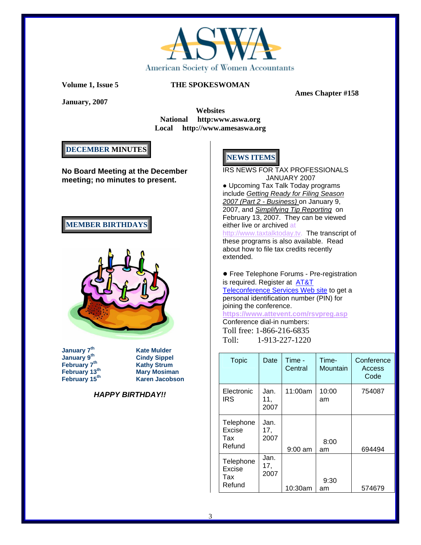

 **Ames Chapter #158** 

**January, 2007** 

**Websites National http:www.aswa.org Local http://www.amesaswa.org** 

# **DECEMBER MINUTES**

**No Board Meeting at the December meeting; no minutes to present.** 

# **MEMBER BIRTHDAYS**



**January 7th Kate Mulder** 

**Cindy Sippel February 7<sup>th</sup><br>
February 13<sup>th</sup>

<b>Compary Mary Mosima February 13<sup>th</sup> Mary Mosiman**<br>**February 15<sup>th</sup> Karen Jacobso Karen Jacobson** 

**HAPPY BIRTHDAY!!** 

# **NEWS ITEMS**

IRS NEWS FOR TAX PROFESSIONALS JANUARY 2007

• Upcoming Tax Talk Today programs include Getting Ready for Filing Season 2007 (Part 2 - Business) on January 9, 2007, and Simplifying Tip Reporting on February 13, 2007. They can be viewed either live or archived at

http://www.taxtalktoday.tv. The transcript of these programs is also available. Read about how to file tax credits recently extended.

● Free Telephone Forums - Pre-registration is required. Register at **AT&T** Teleconference Services Web site to get a personal identification number (PIN) for joining the conference. **https://www.attevent.com/rsvpreg.asp**

Conference dial-in numbers: Toll free: 1-866-216-6835 Toll: 1-913-227-1220

| <b>Topic</b>                         | Date                | Time -<br>Central | Time-<br>Mountain | Conference<br>Access<br>Code |
|--------------------------------------|---------------------|-------------------|-------------------|------------------------------|
| Electronic<br><b>IRS</b>             | Jan.<br>11,<br>2007 | 11:00am           | 10:00<br>am       | 754087                       |
| Telephone<br>Excise<br>Tax<br>Refund | Jan.<br>17.<br>2007 | $9:00$ am         | 8:00<br>am        | 694494                       |
| Telephone<br>Excise<br>Tax<br>Refund | Jan.<br>17,<br>2007 | 10:30am           | 9:30<br>am        | 574679                       |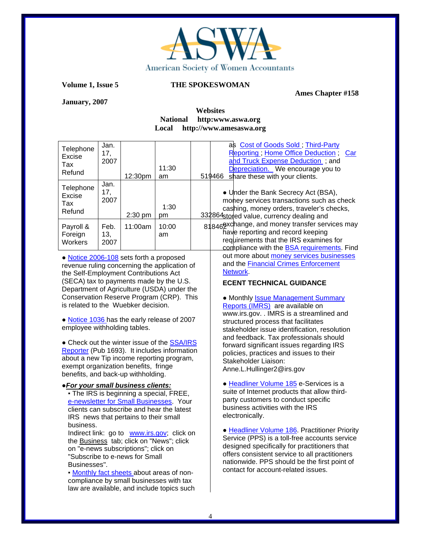

 **Ames Chapter #158** 

**January, 2007** 

### **Websites National http:www.aswa.org Local http://www.amesaswa.org**

| as Cost of Goods Sold; Third-Party<br>Jan.<br>Telephone<br>Reporting; Home Office Deduction;<br>17,<br>Car<br>Excise<br>and Truck Expense Deduction; and<br>2007<br>Tax<br>11:30<br>Depreciation. We encourage you to<br>Refund<br>12:30pm<br>519466<br>share these with your clients.<br>am<br>Jan.<br>Telephone<br>17,<br>• Under the Bank Secrecy Act (BSA),<br><b>Excise</b><br>2007<br>money services transactions such as check<br>Tax<br>1:30<br>cashing, money orders, traveler's checks,<br>Refund<br>2:30 pm<br>332864stored value, currency dealing and<br>pm<br>818469xchange, and money transfer services may<br>Feb.<br>11:00am<br>10:00<br>Payroll &<br>have reporting and record keeping<br>Foreign<br>13,<br>am<br>requirements that the IRS examines for<br>2007                                                                                                                                                                                                                                                                                                                                                                                                                                                                                                                                                                                                                                                                                                                                                                                                                                                                                                                                                                                                                                                                                                                                                                                                                                                                                                                                                                                         |         |
|----------------------------------------------------------------------------------------------------------------------------------------------------------------------------------------------------------------------------------------------------------------------------------------------------------------------------------------------------------------------------------------------------------------------------------------------------------------------------------------------------------------------------------------------------------------------------------------------------------------------------------------------------------------------------------------------------------------------------------------------------------------------------------------------------------------------------------------------------------------------------------------------------------------------------------------------------------------------------------------------------------------------------------------------------------------------------------------------------------------------------------------------------------------------------------------------------------------------------------------------------------------------------------------------------------------------------------------------------------------------------------------------------------------------------------------------------------------------------------------------------------------------------------------------------------------------------------------------------------------------------------------------------------------------------------------------------------------------------------------------------------------------------------------------------------------------------------------------------------------------------------------------------------------------------------------------------------------------------------------------------------------------------------------------------------------------------------------------------------------------------------------------------------------------------|---------|
|                                                                                                                                                                                                                                                                                                                                                                                                                                                                                                                                                                                                                                                                                                                                                                                                                                                                                                                                                                                                                                                                                                                                                                                                                                                                                                                                                                                                                                                                                                                                                                                                                                                                                                                                                                                                                                                                                                                                                                                                                                                                                                                                                                            |         |
|                                                                                                                                                                                                                                                                                                                                                                                                                                                                                                                                                                                                                                                                                                                                                                                                                                                                                                                                                                                                                                                                                                                                                                                                                                                                                                                                                                                                                                                                                                                                                                                                                                                                                                                                                                                                                                                                                                                                                                                                                                                                                                                                                                            |         |
| compliance with the <b>BSA</b> requirements. Find                                                                                                                                                                                                                                                                                                                                                                                                                                                                                                                                                                                                                                                                                                                                                                                                                                                                                                                                                                                                                                                                                                                                                                                                                                                                                                                                                                                                                                                                                                                                                                                                                                                                                                                                                                                                                                                                                                                                                                                                                                                                                                                          | Workers |
| out more about money services businesses<br>• Notice 2006-108 sets forth a proposed<br>and the <b>Financial Crimes Enforcement</b><br>revenue ruling concerning the application of<br>Network.<br>the Self-Employment Contributions Act<br>(SECA) tax to payments made by the U.S.<br><b>ECENT TECHNICAL GUIDANCE</b><br>Department of Agriculture (USDA) under the<br>Conservation Reserve Program (CRP). This<br>• Monthly <b>Issue Management Summary</b><br>is related to the Wuebker decision.<br>Reports (IMRS) are available on<br>www.irs.gov. . IMRS is a streamlined and<br>. Notice 1036 has the early release of 2007<br>structured process that facilitates<br>employee withholding tables.<br>stakeholder issue identification, resolution<br>and feedback. Tax professionals should<br>• Check out the winter issue of the <b>SSA/IRS</b><br>forward significant issues regarding IRS<br>Reporter (Pub 1693). It includes information<br>policies, practices and issues to their<br>about a new Tip income reporting program,<br>Stakeholder Liaison:<br>exempt organization benefits, fringe<br>Anne.L.Hullinger2@irs.gov<br>benefits, and back-up withholding.<br>· Headliner Volume 185 e-Services is a<br>. For your small business clients:<br>suite of Internet products that allow third-<br>. The IRS is beginning a special, FREE,<br>party customers to conduct specific<br>e-newsletter for Small Businesses. Your<br>business activities with the IRS<br>clients can subscribe and hear the latest<br>electronically.<br>IRS news that pertains to their small<br>business.<br>• Headliner Volume 186. Practitioner Priority<br>Indirect link: go to www.irs.gov; click on<br>Service (PPS) is a toll-free accounts service<br>the Business tab; click on "News"; click<br>designed specifically for practitioners that<br>on "e-news subscriptions"; click on<br>offers consistent service to all practitioners<br>"Subscribe to e-news for Small<br>nationwide. PPS should be the first point of<br>Businesses".<br>contact for account-related issues.<br>Monthly fact sheets about areas of non-<br>compliance by small businesses with tax |         |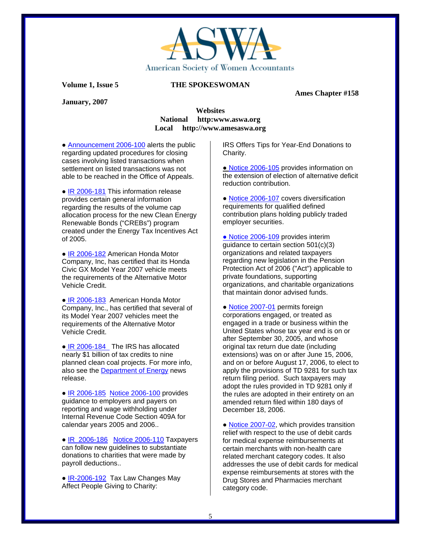

**January, 2007** 

#### **Ames Chapter #158**

### **Websites National http:www.aswa.org Local http://www.amesaswa.org**

• Announcement 2006-100 alerts the public regarding updated procedures for closing cases involving listed transactions when settlement on listed transactions was not able to be reached in the Office of Appeals.

● IR 2006-181 This information release provides certain general information regarding the results of the volume cap allocation process for the new Clean Energy Renewable Bonds ("CREBs") program created under the Energy Tax Incentives Act of 2005.

● IR 2006-182 American Honda Motor Company, Inc, has certified that its Honda Civic GX Model Year 2007 vehicle meets the requirements of the Alternative Motor Vehicle Credit.

● IR 2006-183 American Honda Motor Company, Inc., has certified that several of its Model Year 2007 vehicles meet the requirements of the Alternative Motor Vehicle Credit.

• IR 2006-184 The IRS has allocated nearly \$1 billion of tax credits to nine planned clean coal projects. For more info, also see the Department of Energy news release.

● IR 2006-185Notice 2006-100 provides guidance to employers and payers on reporting and wage withholding under Internal Revenue Code Section 409A for calendar years 2005 and 2006..

● IR 2006-186 Notice 2006-110 Taxpayers can follow new guidelines to substantiate donations to charities that were made by payroll deductions..

• IR-2006-192 Tax Law Changes May Affect People Giving to Charity:

IRS Offers Tips for Year-End Donations to Charity.

● Notice 2006-105 provides information on the extension of election of alternative deficit reduction contribution.

• Notice 2006-107 covers diversification requirements for qualified defined contribution plans holding publicly traded employer securities.

• Notice 2006-109 provides interim guidance to certain section 501(c)(3) organizations and related taxpayers regarding new legislation in the Pension Protection Act of 2006 ("Act") applicable to private foundations, supporting organizations, and charitable organizations that maintain donor advised funds.

• Notice 2007-01 permits foreign corporations engaged, or treated as engaged in a trade or business within the United States whose tax year end is on or after September 30, 2005, and whose original tax return due date (including extensions) was on or after June 15, 2006, and on or before August 17, 2006, to elect to apply the provisions of TD 9281 for such tax return filing period. Such taxpayers may adopt the rules provided in TD 9281 only if the rules are adopted in their entirety on an amended return filed within 180 days of December 18, 2006.

• Notice 2007-02, which provides transition relief with respect to the use of debit cards for medical expense reimbursements at certain merchants with non-health care related merchant category codes. It also addresses the use of debit cards for medical expense reimbursements at stores with the Drug Stores and Pharmacies merchant category code.